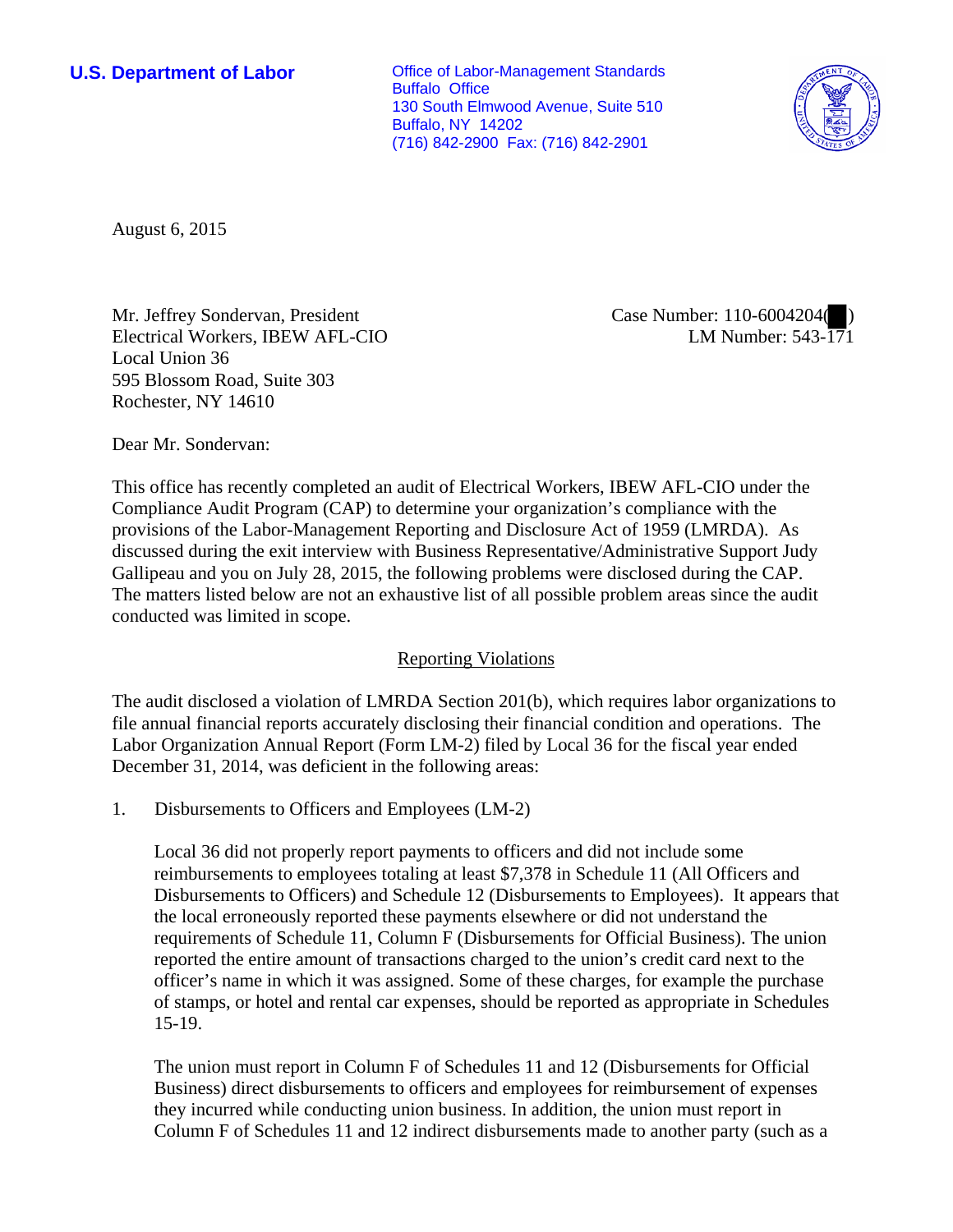**U.S. Department of Labor Conservative Conservative Conservative Conservative Conservative Conservative Conservative Conservative Conservative Conservative Conservative Conservative Conservative Conservative Conservative** Buffalo Office 130 South Elmwood Avenue, Suite 510 Buffalo, NY 14202 (716) 842-2900 Fax: (716) 842-2901



August 6, 2015

Mr. Jeffrey Sondervan, President Electrical Workers, IBEW AFL-CIO Local Union 36 595 Blossom Road, Suite 303 Rochester, NY 14610

Case Number: 110-6004204( ) LM Number: 543-171

Dear Mr. Sondervan:

This office has recently completed an audit of Electrical Workers, IBEW AFL-CIO under the Compliance Audit Program (CAP) to determine your organization's compliance with the provisions of the Labor-Management Reporting and Disclosure Act of 1959 (LMRDA). As discussed during the exit interview with Business Representative/Administrative Support Judy Gallipeau and you on July 28, 2015, the following problems were disclosed during the CAP. The matters listed below are not an exhaustive list of all possible problem areas since the audit conducted was limited in scope.

## Reporting Violations

The audit disclosed a violation of LMRDA Section 201(b), which requires labor organizations to file annual financial reports accurately disclosing their financial condition and operations. The Labor Organization Annual Report (Form LM-2) filed by Local 36 for the fiscal year ended December 31, 2014, was deficient in the following areas:

1. Disbursements to Officers and Employees (LM-2)

Local 36 did not properly report payments to officers and did not include some reimbursements to employees totaling at least \$7,378 in Schedule 11 (All Officers and Disbursements to Officers) and Schedule 12 (Disbursements to Employees). It appears that the local erroneously reported these payments elsewhere or did not understand the requirements of Schedule 11, Column F (Disbursements for Official Business). The union reported the entire amount of transactions charged to the union's credit card next to the officer's name in which it was assigned. Some of these charges, for example the purchase of stamps, or hotel and rental car expenses, should be reported as appropriate in Schedules 15-19.

The union must report in Column F of Schedules 11 and 12 (Disbursements for Official Business) direct disbursements to officers and employees for reimbursement of expenses they incurred while conducting union business. In addition, the union must report in Column F of Schedules 11 and 12 indirect disbursements made to another party (such as a